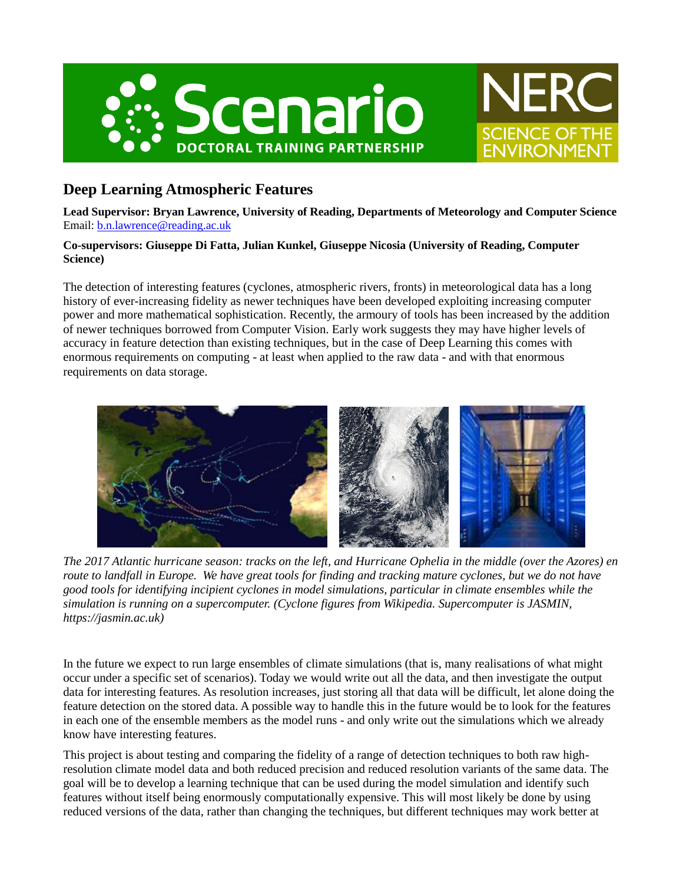



# **Deep Learning Atmospheric Features**

**Lead Supervisor: Bryan Lawrence, University of Reading, Departments of Meteorology and Computer Science** Email: [b.n.lawrence@reading.ac.uk](mailto:b.n.lawrence@reading.ac.uk)

#### **Co-supervisors: Giuseppe Di Fatta, Julian Kunkel, Giuseppe Nicosia (University of Reading, Computer Science)**

The detection of interesting features (cyclones, atmospheric rivers, fronts) in meteorological data has a long history of ever-increasing fidelity as newer techniques have been developed exploiting increasing computer power and more mathematical sophistication. Recently, the armoury of tools has been increased by the addition of newer techniques borrowed from Computer Vision. Early work suggests they may have higher levels of accuracy in feature detection than existing techniques, but in the case of Deep Learning this comes with enormous requirements on computing - at least when applied to the raw data - and with that enormous requirements on data storage.



*The 2017 Atlantic hurricane season: tracks on the left, and Hurricane Ophelia in the middle (over the Azores) en route to landfall in Europe. We have great tools for finding and tracking mature cyclones, but we do not have good tools for identifying incipient cyclones in model simulations, particular in climate ensembles while the simulation is running on a supercomputer. (Cyclone figures from Wikipedia. Supercomputer is JASMIN, https://jasmin.ac.uk)*

In the future we expect to run large ensembles of climate simulations (that is, many realisations of what might occur under a specific set of scenarios). Today we would write out all the data, and then investigate the output data for interesting features. As resolution increases, just storing all that data will be difficult, let alone doing the feature detection on the stored data. A possible way to handle this in the future would be to look for the features in each one of the ensemble members as the model runs - and only write out the simulations which we already know have interesting features.

This project is about testing and comparing the fidelity of a range of detection techniques to both raw highresolution climate model data and both reduced precision and reduced resolution variants of the same data. The goal will be to develop a learning technique that can be used during the model simulation and identify such features without itself being enormously computationally expensive. This will most likely be done by using reduced versions of the data, rather than changing the techniques, but different techniques may work better at